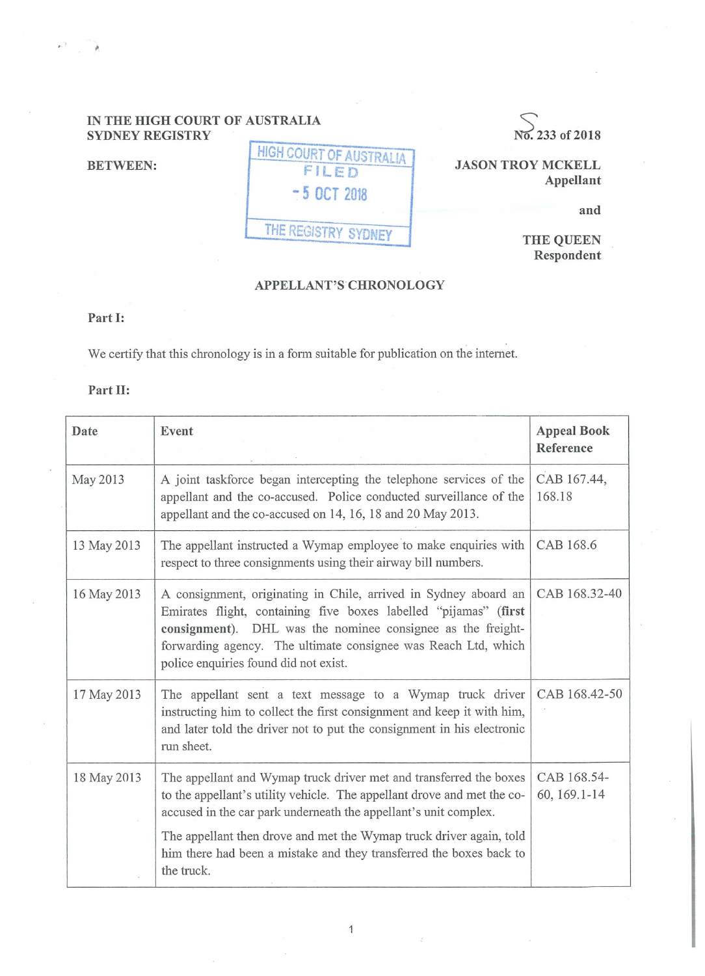# **IN THE HIGH COURT OF AUSTRALIA SYDNEY REGISTRY SYDNEY REGISTRY No. 233 of 2018**

**BETWEEN:** 

| <b>HIGH COURT OF AUSTRALIA</b> |
|--------------------------------|
| FILED                          |
| -5 OCT 2018                    |
|                                |
| THE REGISTRY SYDNEY            |

**JASON TROY MCKELL Appellant** 

**and** 

**THE QUEEN Respondent** 

## **APPELLANT'S.CHRONOLOGY**

#### **Part I:**

We certify that this chronology is in a form suitable for publication on the internet.

## **Part II:**

| Date        | Event                                                                                                                                                                                                                                                                                                          | <b>Appeal Book</b><br>Reference |
|-------------|----------------------------------------------------------------------------------------------------------------------------------------------------------------------------------------------------------------------------------------------------------------------------------------------------------------|---------------------------------|
| May 2013    | A joint taskforce began intercepting the telephone services of the<br>appellant and the co-accused. Police conducted surveillance of the<br>appellant and the co-accused on 14, 16, 18 and 20 May 2013.                                                                                                        | CAB 167.44,<br>168.18           |
| 13 May 2013 | The appellant instructed a Wymap employee to make enquiries with<br>respect to three consignments using their airway bill numbers.                                                                                                                                                                             | CAB 168.6                       |
| 16 May 2013 | A consignment, originating in Chile, arrived in Sydney aboard an<br>Emirates flight, containing five boxes labelled "pijamas" (first<br>consignment). DHL was the nominee consignee as the freight-<br>forwarding agency. The ultimate consignee was Reach Ltd, which<br>police enquiries found did not exist. | CAB 168.32-40                   |
| 17 May 2013 | The appellant sent a text message to a Wymap truck driver<br>instructing him to collect the first consignment and keep it with him,<br>and later told the driver not to put the consignment in his electronic<br>run sheet.                                                                                    | CAB 168.42-50                   |
| 18 May 2013 | The appellant and Wymap truck driver met and transferred the boxes<br>to the appellant's utility vehicle. The appellant drove and met the co-<br>accused in the car park underneath the appellant's unit complex.                                                                                              | CAB 168.54-<br>60, 169.1-14     |
|             | The appellant then drove and met the Wymap truck driver again, told<br>him there had been a mistake and they transferred the boxes back to<br>the truck.                                                                                                                                                       |                                 |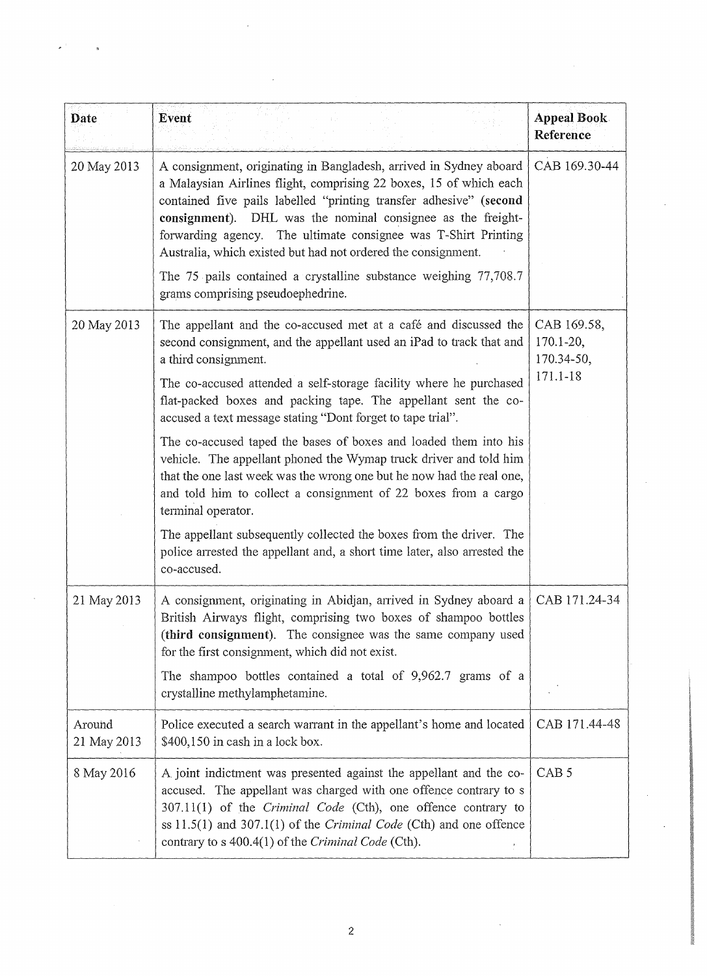| Date                  | Event                                                                                                                                                                                                                                                                                                                                                                                                                                                                                    | <b>Appeal Book</b><br>Reference                        |
|-----------------------|------------------------------------------------------------------------------------------------------------------------------------------------------------------------------------------------------------------------------------------------------------------------------------------------------------------------------------------------------------------------------------------------------------------------------------------------------------------------------------------|--------------------------------------------------------|
| 20 May 2013           | A consignment, originating in Bangladesh, arrived in Sydney aboard<br>a Malaysian Airlines flight, comprising 22 boxes, 15 of which each<br>contained five pails labelled "printing transfer adhesive" (second<br>consignment). DHL was the nominal consignee as the freight-<br>forwarding agency. The ultimate consignee was T-Shirt Printing<br>Australia, which existed but had not ordered the consignment.<br>The $75$ pails contained a crystalline substance weighing $77,708.7$ | CAB 169.30-44                                          |
|                       | grams comprising pseudoephedrine.                                                                                                                                                                                                                                                                                                                                                                                                                                                        |                                                        |
| 20 May 2013           | The appellant and the co-accused met at a café and discussed the<br>second consignment, and the appellant used an iPad to track that and<br>a third consignment.<br>The co-accused attended a self-storage facility where he purchased<br>flat-packed boxes and packing tape. The appellant sent the co-                                                                                                                                                                                 | CAB 169.58,<br>$170.1 - 20,$<br>170.34-50,<br>171.1-18 |
|                       | accused a text message stating "Dont forget to tape trial".                                                                                                                                                                                                                                                                                                                                                                                                                              |                                                        |
|                       | The co-accused taped the bases of boxes and loaded them into his<br>vehicle. The appellant phoned the Wymap truck driver and told him<br>that the one last week was the wrong one but he now had the real one,<br>and told him to collect a consignment of 22 boxes from a cargo<br>terminal operator.                                                                                                                                                                                   |                                                        |
|                       | The appellant subsequently collected the boxes from the driver. The<br>police arrested the appellant and, a short time later, also arrested the<br>co-accused.                                                                                                                                                                                                                                                                                                                           |                                                        |
| 21 May 2013           | A consignment, originating in Abidjan, arrived in Sydney aboard a   CAB 171.24-34<br>British Airways flight, comprising two boxes of shampoo bottles<br>(third consignment). The consignee was the same company used<br>for the first consignment, which did not exist.<br>The shampoo bottles contained a total of 9,962.7 grams of a<br>crystalline methylamphetamine.                                                                                                                 |                                                        |
| Around<br>21 May 2013 | Police executed a search warrant in the appellant's home and located<br>\$400,150 in cash in a lock box.                                                                                                                                                                                                                                                                                                                                                                                 | CAB 171.44-48                                          |
| 8 May 2016            | A joint indictment was presented against the appellant and the co-<br>accused. The appellant was charged with one offence contrary to s<br>307.11(1) of the Criminal Code (Cth), one offence contrary to<br>ss $11.5(1)$ and $307.1(1)$ of the <i>Criminal Code</i> (Cth) and one offence<br>contrary to s 400.4(1) of the Criminal Code (Cth).                                                                                                                                          | CAB <sub>5</sub>                                       |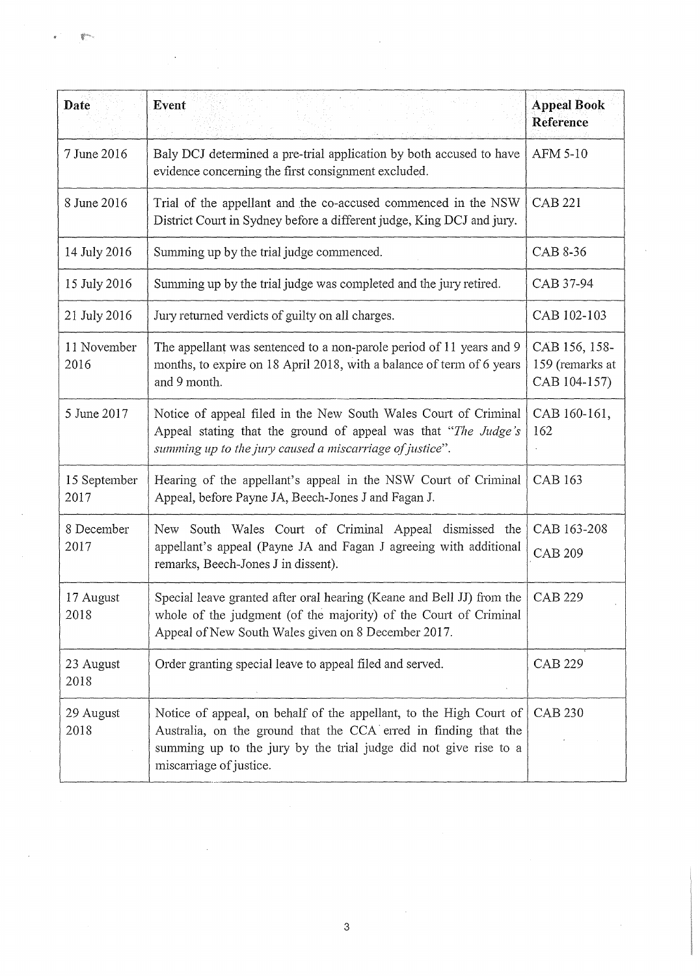| Date                 | Event                                                                                                                                                                                                                                | <b>Appeal Book</b><br>Reference                  |
|----------------------|--------------------------------------------------------------------------------------------------------------------------------------------------------------------------------------------------------------------------------------|--------------------------------------------------|
| 7 June 2016          | Baly DCJ determined a pre-trial application by both accused to have<br>evidence concerning the first consignment excluded.                                                                                                           | AFM 5-10                                         |
| 8 June 2016          | Trial of the appellant and the co-accused commenced in the NSW<br>District Court in Sydney before a different judge, King DCJ and jury.                                                                                              | <b>CAB 221</b>                                   |
| 14 July 2016         | Summing up by the trial judge commenced.                                                                                                                                                                                             | CAB 8-36                                         |
| 15 July 2016         | Summing up by the trial judge was completed and the jury retired.                                                                                                                                                                    | CAB 37-94                                        |
| 21 July 2016         | Jury returned verdicts of guilty on all charges.                                                                                                                                                                                     | CAB 102-103                                      |
| 11 November<br>2016  | The appellant was sentenced to a non-parole period of 11 years and 9<br>months, to expire on 18 April 2018, with a balance of term of 6 years<br>and 9 month.                                                                        | CAB 156, 158-<br>159 (remarks at<br>CAB 104-157) |
| 5 June 2017          | Notice of appeal filed in the New South Wales Court of Criminal<br>Appeal stating that the ground of appeal was that "The Judge's<br>summing up to the jury caused a miscarriage of justice".                                        | CAB 160-161,<br>162                              |
| 15 September<br>2017 | Hearing of the appellant's appeal in the NSW Court of Criminal<br>Appeal, before Payne JA, Beech-Jones J and Fagan J.                                                                                                                | <b>CAB 163</b>                                   |
| 8 December<br>2017   | New South Wales Court of Criminal Appeal dismissed the<br>appellant's appeal (Payne JA and Fagan J agreeing with additional<br>remarks, Beech-Jones J in dissent).                                                                   | CAB 163-208<br><b>CAB 209</b>                    |
| 17 August<br>2018    | Special leave granted after oral hearing (Keane and Bell JJ) from the $\vert$<br>whole of the judgment (of the majority) of the Court of Criminal<br>Appeal of New South Wales given on 8 December 2017.                             | CAB 229                                          |
| 23 August<br>2018    | Order granting special leave to appeal filed and served.                                                                                                                                                                             | <b>CAB 229</b>                                   |
| 29 August<br>2018    | Notice of appeal, on behalf of the appellant, to the High Court of<br>Australia, on the ground that the CCA erred in finding that the<br>summing up to the jury by the trial judge did not give rise to a<br>miscarriage of justice. | <b>CAB 230</b>                                   |

 $\mathcal{L}_{\text{max}}$  ,  $\mathcal{L}_{\text{max}}$ 

 $\hat{\mathcal{A}}$ 

3

 $\mathcal{A}^{\mathcal{A}}$ 

 $\hat{\mathcal{A}}$